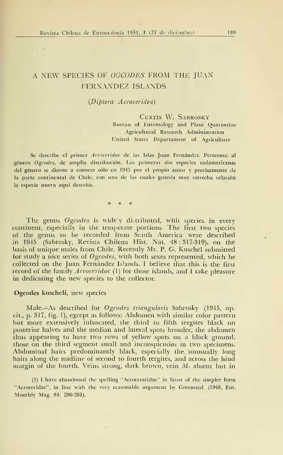## A NEW SPECIES OF OGCODES FROM THE JUAN FERNANDEZ ÍSLANDS

## {Díptera Acroceridea)

CURTIS W. SABROSKY Bureau of Entomology and Plant Quarantine Agricultural Research Administration United States Departament of Agriculture

Se describe el primer Acroceridae de las Islas Juan Fernández. Pertenece al género Ogcodes, de amplia distribución. Las primeras dos especies sudamericanas del género se dieron <sup>a</sup> conocer sólo en <sup>1945</sup> por el propio autor <sup>y</sup> precisamente de la parte continental de Chüe, con una de las cuales guarda muy estrecha relación la especie nueva aquí descrita.

The genus  $O$ *gcodes* is widely distributed, with species in every continent, especially in the températe portions. The fiíst two species of the genus to be recorded from South America were described  $\qquad$ in 1945 (Sabrosky, Revista Chilena Hist. Nat. 48:317-319), on the basis of unique males from Chile. Recently Mr. P. G. Kuschel submitted for study a nice series of Ogcodes, with both sexes represented, which he collected on the Juan Fernández Islands. I believe that this is the first record of the family *Acroceridae* (1) for those islands, and I take pleasure in dedicating the new species to the collector.

## Ogcodes kuscheli, new species

Male. As described for Ogcodes triangularis Sabrosky (1945, op. cit., p. 317, fig. 1), except as follows: Abdomen with similar color pattern but more extensively infuscated, the third to fifth tergites black on posterior halves and the median and lateral spots broader, the abdomen thus appearing to have two rows of yellow spots on a black ground, those on the third segment small and inconspicuous in two specimens. Abdominal hairs predominantly black, especially the unusually long hairs along the midline of second to fourth tergites, and across the hind margin of the fourth. Veins strong, dark brown, vein  $M_t$  absent but in

(1) <sup>I</sup> have abandoned the spcUing "Acroceratidae" in favor of the simpler form "Acroceridae", in line with the very reasonable argument by Greensted (1948, Ent. Monthly Mag. 84: 280-281).